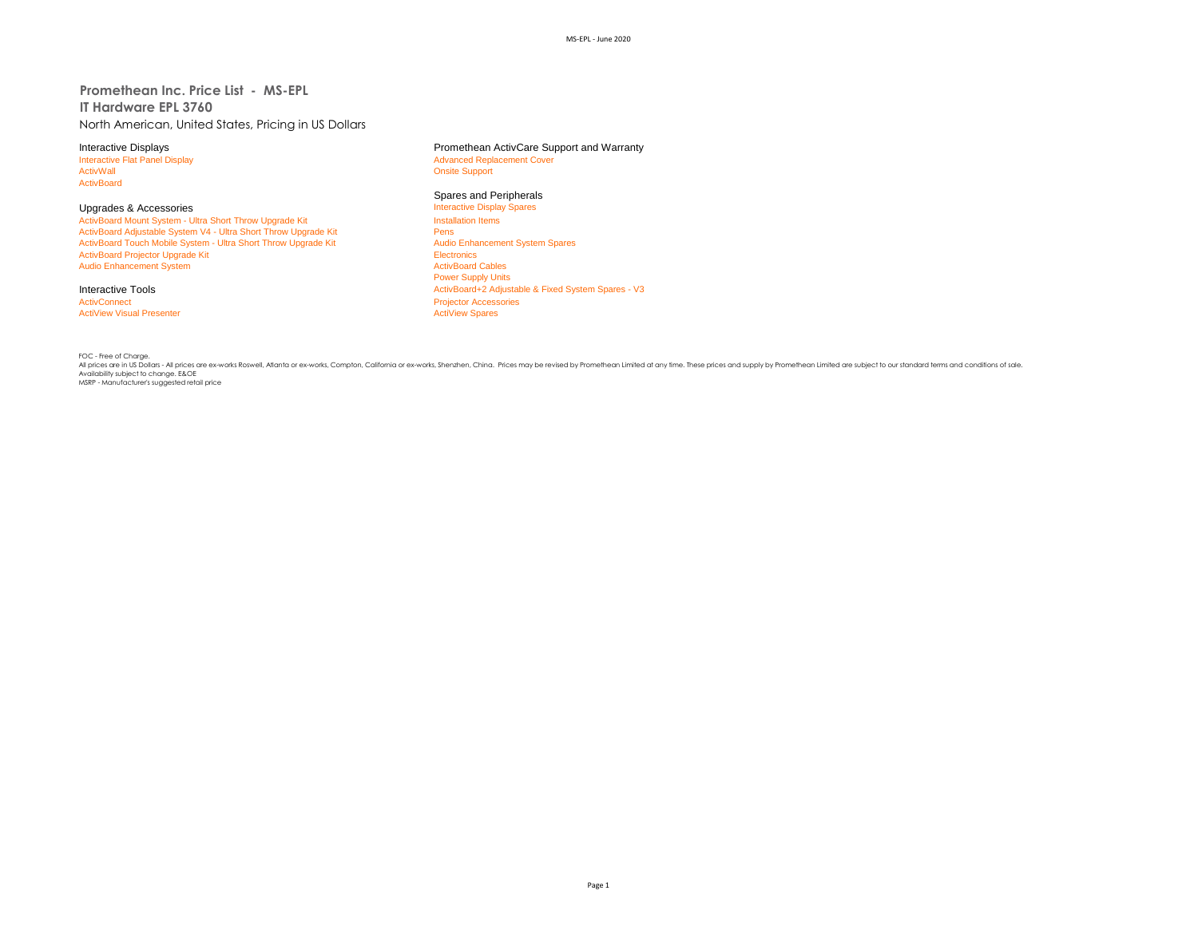**Promethean Inc. Price List - MS-EPL IT Hardware EPL 3760** North American, United States, Pricing in US Dollars

ActivBoard

Upgrades & Accessories **Interactive Display Spares Accessories** Interactive Display<br>
ActivBoard Mount System - Ultra Short Throw Upgrade Kit **Interactive Display Spares Installation** Items ActivBoard Mount System - Ultra Short Throw Upgrade Kit Install<br>ActivBoard Adjustable System V4 - Ultra Short Throw Upgrade Kit Install ActivBoard Adjustable System V4 - Ultra Short Throw Upgrade Kit Pens<br>
Pens Persi ActivBoard Touch Mobile System - Ultra Short Throw Upgrade Kit Pens Pens Audio Enhancement System Spares ActivBoard Touch Mobile System - Ultra Short Throw Upgrade Kit ActivBoard Projector Upgrade Kit Electronics<br>
Audio Enhancement System<br>
ActivBoard Cables Audio Enhancement System

**ActiView Visual Presenter** 

Interactive Displays<br>
Interactive Flat Panel Display<br> **Interactive Flat Panel Display**<br> **Advanced Replacement Cover** Interactive Flat Panel Display and The Supervisor of Advanced Replacement Cover<br>
Advanced Replacement Cover<br>
Advanced Replacement Cover **Onsite Support** 

# Spares and Peripherals<br>Interactive Display Spares

Power Supply Units Interactive Tools<br> **Interactive Tools**<br>
ActivBoard+2 Adjustable & Fixed System Spares - V3<br>
ActivBoard+2 Adjustable & Fixed System Spares - V3 Projector Accessories<br>ActiView Spares

FOC - Free of Charge.

. July rices are in US Dollars - All prices are ex-works Roswell, Atlanta or ex-works, Compton, California or ex-works, Shenzhen, China. Prices may be revised by Promethean Limited at any time. These prices and supply by P Availability subject to change. E&OE MSRP - Manufacturer's suggested retail price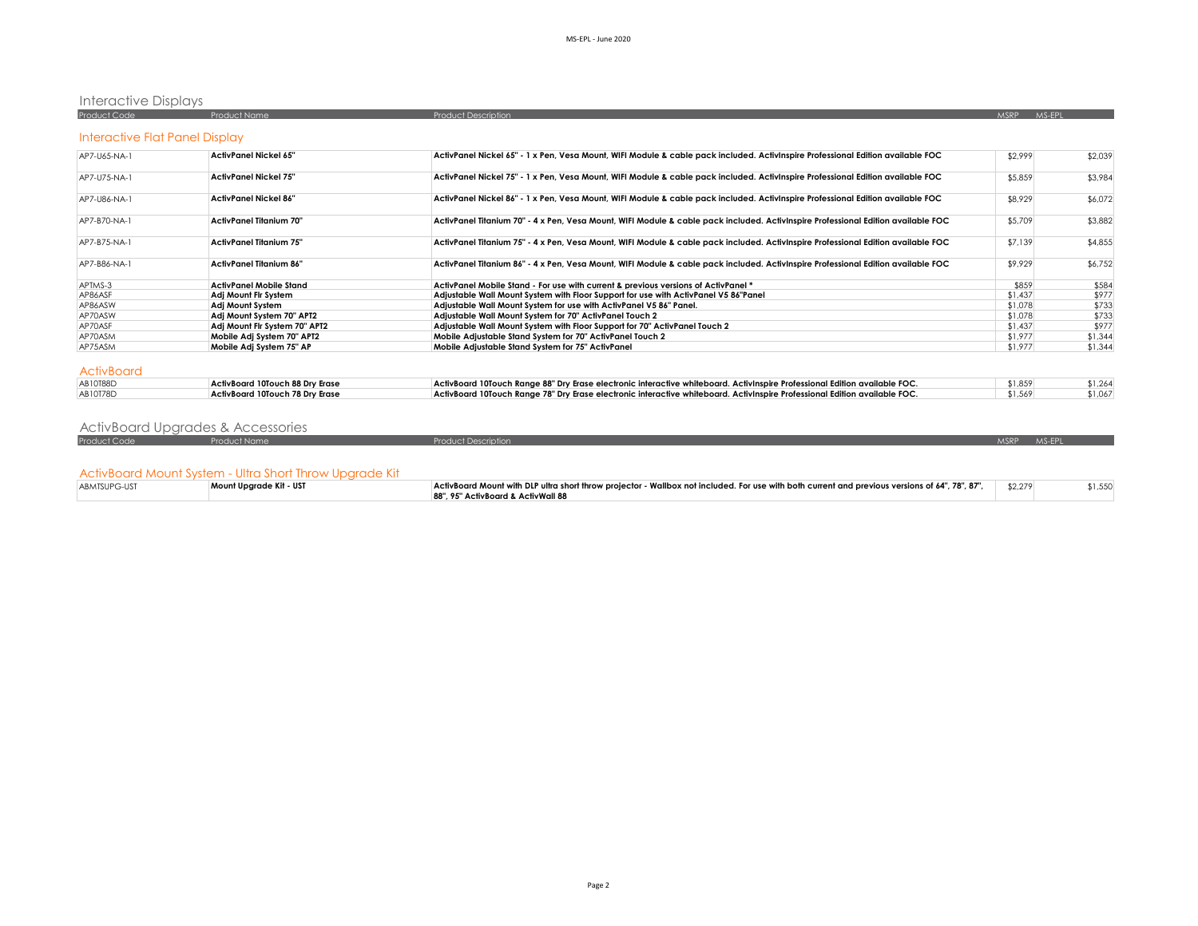# Interactive Displays

| <b>Product Code</b>            | <b>Product Name</b>   | <b>Product Description</b>                                                                                                      |         | MS-FP |         |
|--------------------------------|-----------------------|---------------------------------------------------------------------------------------------------------------------------------|---------|-------|---------|
| Interactive Flat Panel Display |                       |                                                                                                                                 |         |       |         |
| AP7-U65-NA-1                   | ActivPanel Nickel 65" | ActivPanel Nickel 65" - 1 x Pen, Vesa Mount, WIFI Module & cable pack included. ActivInspire Professional Edition available FOC | \$2,999 |       | \$2,039 |
| <b>AD71175 NA1</b>             | Activennal Nickal 75" | Activennal Nickel ZE", 1 v Pen, Vosa Mount, WIEL Module 8, cable pack included. Activinenize Prefereional Edition available EOC | QZQZQ   |       | 42001   |

| AP7-U75-NA-1 | <b>ActivPanel Nickel 75"</b>    | ActivPanel Nickel 75" - 1 x Pen, Vesa Mount, WIFI Module & cable pack included. ActivInspire Professional Edition available FOC   | \$5,859 | \$3,984 |
|--------------|---------------------------------|-----------------------------------------------------------------------------------------------------------------------------------|---------|---------|
| AP7-U86-NA-1 | ActivPanel Nickel 86"           | ActivPanel Nickel 86" - 1 x Pen, Vesa Mount, WIFI Module & cable pack included. ActivInspire Professional Edition available FOC   | \$8,929 | \$6,072 |
| AP7-B70-NA-1 | ActivPanel Titanium 70"         | ActivPanel Titanium 70" - 4 x Pen, Vesa Mount, WIFI Module & cable pack included. ActivInspire Professional Edition available FOC | \$5,709 | \$3,882 |
| AP7-B75-NA-1 | <b>ActivPanel Titanium 75"</b>  | ActivPanel Titanium 75" - 4 x Pen, Vesa Mount, WIFI Module & cable pack included. ActivInspire Professional Edition available FOC | \$7,139 | \$4,855 |
| AP7-B86-NA-1 | <b>ActivPanel Titanium 86"</b>  | ActivPanel Titanium 86" - 4 x Pen, Vesa Mount, WIFI Module & cable pack included. ActivInspire Professional Edition available FOC | \$9,929 | \$6,752 |
| APTMS-3      | ActivPanel Mobile Stand         | ActivPanel Mobile Stand - For use with current & previous versions of ActivPanel *                                                | \$859   | \$584   |
| AP86ASF      | Adi Mount Fir System            | Adjustable Wall Mount System with Floor Support for use with ActivPanel V5 86"Panel                                               | \$1,437 | \$977   |
| AP86ASW      | Adi Mount System                | Adjustable Wall Mount System for use with ActivPanel V5 86" Panel.                                                                | \$1,078 | \$733   |
| AP70ASW      | Adj Mount System 70" APT2       | Adiustable Wall Mount System for 70" ActivPanel Touch 2                                                                           | \$1,078 | \$733   |
| AP70ASF      | Adi Mount Flr System 70" APT2   | Adjustable Wall Mount System with Floor Support for 70" ActivPanel Touch 2                                                        | \$1,437 | \$977   |
| AP70ASM      | Mobile Adi System 70" APT2      | Mobile Adjustable Stand System for 70" ActivPanel Touch 2                                                                         | \$1,977 | \$1,344 |
| AP75ASM      | Mobile Adi System 75" AP        | Mobile Adiustable Stand System for 75" ActivPanel                                                                                 | \$1,977 | \$1,344 |
| ActivBoard   |                                 |                                                                                                                                   |         |         |
| AB10T88D     | ActivBoard 10Touch 88 Dry Erase | ActivBoard 10Touch Range 88" Dry Erase electronic interactive whiteboard. ActivInspire Professional Edition available FOC.        | \$1,859 | \$1,264 |
| AB10T78D     | ActivBoard 10Touch 78 Dry Erase | ActivBoard 10Touch Range 78" Dry Erase electronic interactive whiteboard. ActivInspire Professional Edition available FOC.        | \$1,569 | \$1,067 |

| ActivBoard Upgrades & Accessories |  |  |  |  |
|-----------------------------------|--|--|--|--|
|-----------------------------------|--|--|--|--|

| <b>Product Code</b> | - Product Name                                          | <b>Product Description</b>                                                                                                                      | <b>MSRP</b> | MS-FPI |         |
|---------------------|---------------------------------------------------------|-------------------------------------------------------------------------------------------------------------------------------------------------|-------------|--------|---------|
|                     |                                                         |                                                                                                                                                 |             |        |         |
|                     |                                                         |                                                                                                                                                 |             |        |         |
|                     | ActivBoard Mount System - Ultra Short Throw Upgrade Kit |                                                                                                                                                 |             |        |         |
| ABMTSUPG-UST        | Mount Uparade Kit - UST                                 | ActivBoard Mount with DLP ultra short throw projector - Wallbox not included. For use with both current and previous versions of 64", 78", 87", | \$2,279     |        | \$1,550 |
|                     |                                                         | 88", 95" ActivBoard & ActivWall 88                                                                                                              |             |        |         |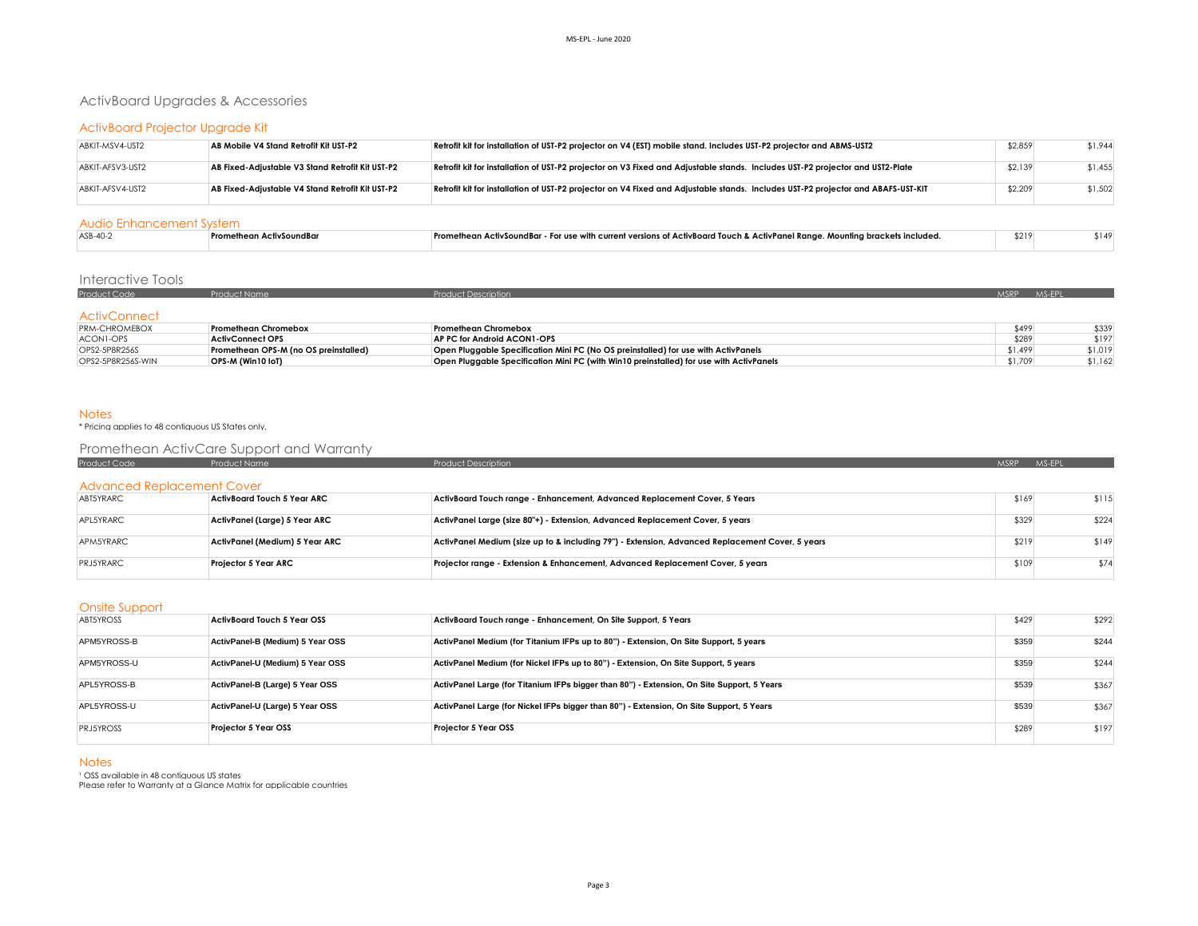# ActivBoard Upgrades & Accessories

## ActivBoard Projector Upgrade Kit

| ABKIT-MSV4-UST2  | AB Mobile V4 Stand Retrofit Kit UST-P2           | Retrofit kit for installation of UST-P2 projector on V4 (EST) mobile stand. Includes UST-P2 projector and ABMS-UST2              | \$2,859 | \$1.944 |
|------------------|--------------------------------------------------|----------------------------------------------------------------------------------------------------------------------------------|---------|---------|
| ABKIT-AFSV3-UST2 | AB Fixed-Adjustable V3 Stand Retrofit Kit UST-P2 | Retrofit kit for installation of UST-P2 projector on V3 Fixed and Adjustable stands. Includes UST-P2 projector and UST2-Plate    | \$2,139 | \$1,455 |
| ABKIT-AFSV4-UST2 | AB Fixed-Adjustable V4 Stand Retrofit Kit UST-P2 | Retrofit kit for installation of UST-P2 projector on V4 Fixed and Adjustable stands. Includes UST-P2 projector and ABAFS-UST-KIT | \$2,209 | \$1,502 |

#### Audio Enhancement System

| ASB-40-2 | Promethean ActivSoundBar | Promethean ActivSoundBar - For use with current versions of ActivBoard Touch & ActivPanel Range. Mounting brackets included, | \$219 |  |
|----------|--------------------------|------------------------------------------------------------------------------------------------------------------------------|-------|--|
|          |                          |                                                                                                                              |       |  |

## Interactive Tools

| Product Code         |                      | ict Description              | MSRP. | MS-EPL |
|----------------------|----------------------|------------------------------|-------|--------|
| <b>ActivConnect</b>  |                      |                              |       |        |
| <b>PRM-CHROMEBOX</b> | Promethean Chromebox | <b>Promethean Chromebox</b>  | \$499 | \$339  |
| $ACOMI$ ODC          | ActivConnoct OPS     | AD BC for Android ACONIL OBS | 0000  | 0.107  |

| I NM-CHNOMEDOA    | <u>Fionemeun Chiomepox</u>            | <b>FIUILIEIREUIL CHIUILIEDUA</b>                                                        | -9477   | 7 ټ ټ   |
|-------------------|---------------------------------------|-----------------------------------------------------------------------------------------|---------|---------|
| ACONI-OPS         | <b>ActivConnect OPS</b>               | AP PC for Android ACON1-OPS                                                             | \$289   | \$197   |
| OPS2-5P8R256S     | Promethean OPS-M (no OS preinstalled) | Open Pluggable Specification Mini PC (No OS preinstalled) for use with ActivPanels      | \$1,499 | \$1,019 |
| OPS2-5P8R256S-WIN | OPS-M (Win10 IoT)                     | Open Pluggable Specification Mini PC (with Win10 preinstalled) for use with ActivPanels | \$1,709 | \$1,162 |

#### Notes

#### \* Pricing applies to 48 contiguous US States only.

# Promethean ActivCare Support and Warranty

| <b>Product Code</b>        | <b>Product Name</b>            | <b>Product Description</b>                                                                      | MSRP MS-FPL |       |  |  |  |  |
|----------------------------|--------------------------------|-------------------------------------------------------------------------------------------------|-------------|-------|--|--|--|--|
| Advanced Replacement Cover |                                |                                                                                                 |             |       |  |  |  |  |
| ABT5YRARC                  | ActivBoard Touch 5 Year ARC    | ActivBoard Touch range - Enhancement, Advanced Replacement Cover, 5 Years                       | \$169       | \$115 |  |  |  |  |
| APL5YRARC                  | ActivPanel (Large) 5 Year ARC  | ActivPanel Large (size 80"+) - Extension, Advanced Replacement Cover, 5 years                   | \$329       | \$224 |  |  |  |  |
| APM5YRARC                  | ActivPanel (Medium) 5 Year ARC | ActivPanel Medium (size up to & including 79") - Extension, Advanced Replacement Cover, 5 years | \$219       | \$149 |  |  |  |  |
| <b>PRJ5YRARC</b>           | Projector 5 Year ARC           | Projector range - Extension & Enhancement, Advanced Replacement Cover, 5 years                  | \$109       | \$74  |  |  |  |  |

#### Onsite Support

| ABT5YROSS        | ActivBoard Touch 5 Year OSS      | ActivBoard Touch range - Enhancement, On Site Support, 5 Years                             | \$429 | \$292 |
|------------------|----------------------------------|--------------------------------------------------------------------------------------------|-------|-------|
| APM5YROSS-B      | ActivPanel-B (Medium) 5 Year OSS | ActivPanel Medium (for Titanium IFPs up to 80") - Extension, On Site Support, 5 years      | \$359 | \$244 |
| APM5YROSS-U      | ActivPanel-U (Medium) 5 Year OSS | ActivPanel Medium (for Nickel IFPs up to 80") - Extension, On Site Support, 5 years        | \$359 | \$244 |
| APL5YROSS-B      | ActivPanel-B (Large) 5 Year OSS  | ActivPanel Large (for Titanium IFPs bigger than 80") - Extension, On Site Support, 5 Years | \$539 | \$367 |
| APL5YROSS-U      | ActivPanel-U (Large) 5 Year OSS  | ActivPanel Large (for Nickel IFPs bigger than 80") - Extension, On Site Support, 5 Years   | \$539 | \$367 |
| <b>PRJ5YROSS</b> | Projector 5 Year OSS             | Projector 5 Year OSS                                                                       | \$289 | \$197 |

#### **Notes**

' OSS available in 48 contiguous US states<br>Please refer to Warrantv at a Glance Matrix for applicable countries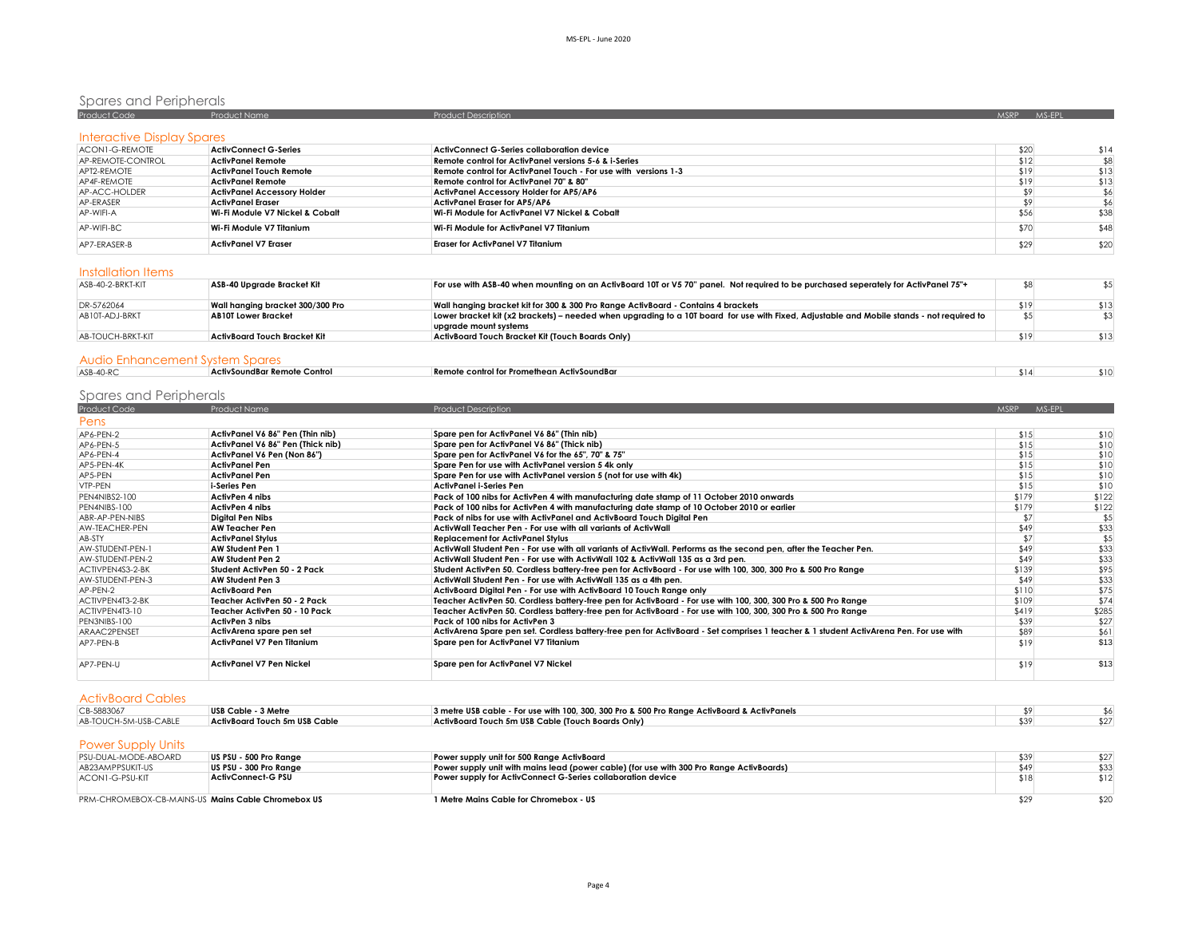# Spares and Peripherals<br>Product Code Product Name Product Name Product Description Product Description Assembly Description MSRP MS-EPL

| <b>Interactive Display Spares</b> |                                    |                                                                 |      |      |
|-----------------------------------|------------------------------------|-----------------------------------------------------------------|------|------|
| ACON1-G-REMOTE                    | <b>ActivConnect G-Series</b>       | <b>ActivConnect G-Series collaboration device</b>               | \$20 | \$14 |
| AP-REMOTE-CONTROL                 | ActivPanel Remote                  | Remote control for ActivPanel versions 5-6 & i-Series           | \$12 | \$8  |
| APT2-REMOTE                       | <b>ActivPanel Touch Remote</b>     | Remote control for ActivPanel Touch - For use with versions 1-3 | \$19 | \$13 |
| AP4F-REMOTE                       | <b>ActivPanel Remote</b>           | Remote control for ActivPanel 70" & 80"                         | \$19 | \$13 |
| AP-ACC-HOLDER                     | <b>ActivPanel Accessory Holder</b> | <b>ActivPanel Accessory Holder for AP5/AP6</b>                  |      | \$6  |
| AP-ERASER                         | <b>ActivPanel Eraser</b>           | ActivPanel Eraser for AP5/AP6                                   |      | \$6  |
| AP-WIFI-A                         | Wi-Fi Module V7 Nickel & Cobalt    | Wi-Fi Module for ActivPanel V7 Nickel & Cobalt                  | \$56 | \$38 |
| AP-WIFI-BC                        | Wi-Fi Module V7 Titanium           | Wi-Fi Module for ActivPanel V7 Titanium                         | \$70 | \$48 |
| AP7-ERASER-B                      | <b>ActivPanel V7 Eraser</b>        | <b>Eraser for ActivPanel V7 Titanium</b>                        | \$29 | \$20 |

### Installation Items

| ASB-40-2-BRKT-KIT | ASB-40 Upgrade Bracket Kit       | For use with ASB-40 when mounting on an ActivBoard 10T or V5 70" panel. Not required to be purchased seperately for ActivPanel 75"+       |      |      |
|-------------------|----------------------------------|-------------------------------------------------------------------------------------------------------------------------------------------|------|------|
| DR-5762064        | Wall hanging bracket 300/300 Pro | Wall hanging bracket kit for 300 & 300 Pro Range ActivBoard - Contains 4 brackets                                                         | \$19 | \$13 |
| AB10T-ADJ-BRKT    | <b>AB10T Lower Bracket</b>       | Lower bracket kit (x2 brackets) – needed when upgrading to a 10T board for use with Fixed, Adjustable and Mobile stands - not required to |      |      |
|                   |                                  | uparade mount systems                                                                                                                     |      |      |
| AB-TOUCH-BRKT-KIT | ActivBoard Touch Bracket Kit     | ActivBoard Touch Bracket Kit (Touch Boards Only)                                                                                          | \$19 | \$13 |
|                   |                                  |                                                                                                                                           |      |      |

### Audio Enhancement System Spares

| ASB-40-RC | ' ActivSoundBar Remote Control<br>________                                                                                                                             | 'SoundBa<br>control for Promethea<br>emote | 514' | sю |
|-----------|------------------------------------------------------------------------------------------------------------------------------------------------------------------------|--------------------------------------------|------|----|
|           | ,我们也不会有一个人的事情。""我们的人,我们也不会有一个人的人,我们也不会有一个人的人,我们也不会有一个人的人,我们也不会有一个人的人,我们也不会有一个人的人,<br>第二百一十一章 第二百一十二章 第二百一十二章 第二百一十二章 第二百一十二章 第二百一十二章 第二百一十二章 第二百一十二章 第二百一十二章 第二百一十二章 第 |                                            |      |    |

# Spares and Peripherals

| Product Code     | <b>Product Name</b>               | <b>Product Description</b>                                                                                                            | MSRP MS-EPL |       |
|------------------|-----------------------------------|---------------------------------------------------------------------------------------------------------------------------------------|-------------|-------|
| Pens             |                                   |                                                                                                                                       |             |       |
| AP6-PEN-2        | ActivPanel V6 86" Pen (Thin nib)  | Spare pen for ActivPanel V6 86" (Thin nib)                                                                                            | \$15        | \$10  |
| AP6-PEN-5        | ActivPanel V6 86" Pen (Thick nib) | Spare pen for ActivPanel V6 86" (Thick nib)                                                                                           | \$15        | \$10  |
| AP6-PEN-4        | ActivPanel V6 Pen (Non 86")       | Spare pen for ActivPanel V6 for the 65", 70" & 75"                                                                                    | \$15        | \$10  |
| AP5-PEN-4K       | <b>ActivPanel Pen</b>             | Spare Pen for use with ActivPanel version 5 4k only                                                                                   | \$15        | \$10  |
| AP5-PEN          | <b>ActivPanel Pen</b>             | Spare Pen for use with ActivPanel version 5 (not for use with 4k)                                                                     | \$15        | \$10  |
| VTP-PEN          | i-Series Pen                      | ActivPanel i-Series Pen                                                                                                               | \$15        | \$10  |
| PEN4NIBS2-100    | <b>ActivPen 4 nibs</b>            | Pack of 100 nibs for ActivPen 4 with manufacturing date stamp of 11 October 2010 onwards                                              | \$179       | \$122 |
| PEN4NIBS-100     | ActivPen 4 nibs                   | Pack of 100 nibs for ActivPen 4 with manufacturing date stamp of 10 October 2010 or earlier                                           | \$179       | \$122 |
| ABR-AP-PEN-NIBS  | <b>Diaital Pen Nibs</b>           | Pack of nibs for use with ActivPanel and ActivBoard Touch Diaital Pen                                                                 | \$7         | \$5   |
| AW-TEACHER-PEN   | <b>AW Teacher Pen</b>             | ActivWall Teacher Pen - For use with all variants of ActivWall                                                                        | \$49        | \$33  |
| AB-STY           | <b>ActivPanel Stylus</b>          | <b>Replacement for ActivPanel Stylus</b>                                                                                              | \$7         | \$5   |
| AW-STUDENT-PEN-1 | <b>AW Student Pen 1</b>           | ActivWall Student Pen - For use with all variants of ActivWall. Performs as the second pen, after the Teacher Pen.                    | \$49        | \$33  |
| AW-STUDENT-PEN-2 | <b>AW Student Pen 2</b>           | ActivWall Student Pen - For use with ActivWall 102 & ActivWall 135 as a 3rd pen.                                                      | \$49        | \$33  |
| ACTIVPEN4S3-2-BK | Student ActivPen 50 - 2 Pack      | Student ActivPen 50. Cordless battery-free pen for ActivBoard - For use with 100, 300, 300 Pro & 500 Pro Range                        | \$139       | \$95  |
| AW-STUDENT-PEN-3 | AW Student Pen 3                  | ActivWall Student Pen - For use with ActivWall 135 as a 4th pen.                                                                      | \$49        | \$33  |
| AP-PEN-2         | <b>ActivBoard Pen</b>             | ActivBoard Digital Pen - For use with ActivBoard 10 Touch Range only                                                                  | \$110       | \$75  |
| ACTIVPEN4T3-2-BK | Teacher ActivPen 50 - 2 Pack      | Teacher ActivPen 50, Cordless battery-free pen for ActivBoard - For use with 100, 300, 300 Pro & 500 Pro Range                        | \$109       | \$74  |
| ACTIVPEN4T3-10   | Teacher ActivPen 50 - 10 Pack     | Teacher ActivPen 50. Cordless battery-free pen for ActivBoard - For use with 100, 300, 300 Pro & 500 Pro Range                        | \$419       | \$285 |
| PEN3NIBS-100     | ActivPen 3 nibs                   | Pack of 100 nibs for ActivPen 3                                                                                                       | \$39        | \$27  |
| ARAAC2PENSET     | ActivArena spare pen set          | ActivArena Spare pen set. Cordless battery-free pen for ActivBoard - Set comprises 1 teacher & 1 student ActivArena Pen. For use with | \$89        | \$61  |
| AP7-PEN-B        | <b>ActivPanel V7 Pen Titanium</b> | Spare pen for ActivPanel V7 Titanium                                                                                                  | \$19        | \$13  |
| AP7-PEN-U        | ActivPanel V7 Pen Nickel          | Spare pen for ActivPanel V7 Nickel                                                                                                    | \$19        | \$13  |

| <b>ActivBoard Cables</b> |  |  |
|--------------------------|--|--|
|                          |  |  |

| CB-5883067                | USB Cable - 3 Metre           | 3 metre USB cable - For use with 100, 300, 300 Pro & 500 Pro Range ActivBoard & ActivPanels |      |      |
|---------------------------|-------------------------------|---------------------------------------------------------------------------------------------|------|------|
| AB-TOUCH-5M-USB-CABLE     | ActivBoard Touch 5m USB Cable | ActivBoard Touch 5m USB Cable (Touch Boards Only)                                           | \$39 | \$27 |
|                           |                               |                                                                                             |      |      |
| <b>Power Supply Units</b> |                               |                                                                                             |      |      |
| PSU-DUAL-MODE-ABOARD      | US PSU - 500 Pro Range        | Power supply unit for 500 Range ActivBoard                                                  | \$39 | \$27 |
| AB23AMPPSUKIT-US          | US PSU - 300 Pro Range        | Power supply unit with mains lead (power cable) (for use with 300 Pro Range ActivBoards)    | \$49 | \$33 |
| ACON1-G-PSU-KIT           | <b>ActivConnect-G PSU</b>     | Power supply for ActivConnect G-Series collaboration device                                 | \$18 | \$12 |
|                           |                               |                                                                                             |      |      |

PRM-CHROMEBOX-CB-MAINS-US **Mains Cable Chromebox US 1 Metre Mains Cable for Chromebox - US** \$29 \$20 \$20 \$20 \$20